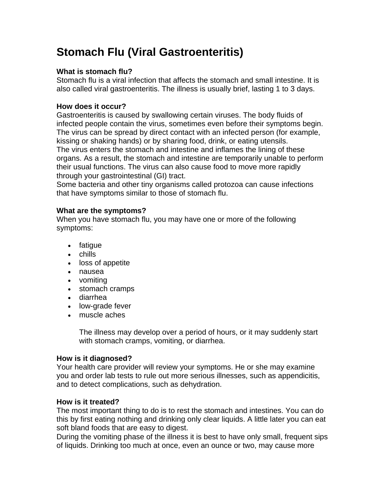# **Stomach Flu (Viral Gastroenteritis)**

## **What is stomach flu?**

Stomach flu is a viral infection that affects the stomach and small intestine. It is also called viral gastroenteritis. The illness is usually brief, lasting 1 to 3 days.

#### **How does it occur?**

Gastroenteritis is caused by swallowing certain viruses. The body fluids of infected people contain the virus, sometimes even before their symptoms begin. The virus can be spread by direct contact with an infected person (for example, kissing or shaking hands) or by sharing food, drink, or eating utensils. The virus enters the stomach and intestine and inflames the lining of these organs. As a result, the stomach and intestine are temporarily unable to perform their usual functions. The virus can also cause food to move more rapidly through your gastrointestinal (GI) tract.

Some bacteria and other tiny organisms called protozoa can cause infections that have symptoms similar to those of stomach flu.

### **What are the symptoms?**

When you have stomach flu, you may have one or more of the following symptoms:

- fatigue
- chills
- loss of appetite
- nausea
- vomiting
- stomach cramps
- diarrhea
- low-grade fever
- muscle aches

The illness may develop over a period of hours, or it may suddenly start with stomach cramps, vomiting, or diarrhea.

#### **How is it diagnosed?**

Your health care provider will review your symptoms. He or she may examine you and order lab tests to rule out more serious illnesses, such as appendicitis, and to detect complications, such as dehydration.

## **How is it treated?**

The most important thing to do is to rest the stomach and intestines. You can do this by first eating nothing and drinking only clear liquids. A little later you can eat soft bland foods that are easy to digest.

During the vomiting phase of the illness it is best to have only small, frequent sips of liquids. Drinking too much at once, even an ounce or two, may cause more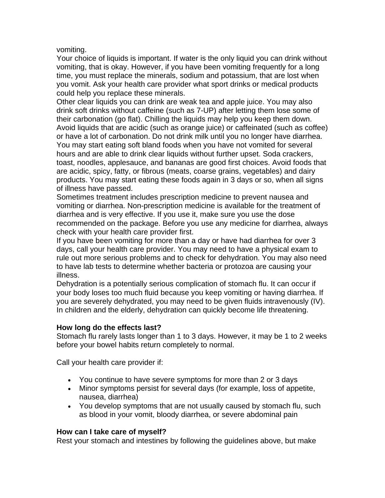vomiting.

Your choice of liquids is important. If water is the only liquid you can drink without vomiting, that is okay. However, if you have been vomiting frequently for a long time, you must replace the minerals, sodium and potassium, that are lost when you vomit. Ask your health care provider what sport drinks or medical products could help you replace these minerals.

Other clear liquids you can drink are weak tea and apple juice. You may also drink soft drinks without caffeine (such as 7-UP) after letting them lose some of their carbonation (go flat). Chilling the liquids may help you keep them down. Avoid liquids that are acidic (such as orange juice) or caffeinated (such as coffee) or have a lot of carbonation. Do not drink milk until you no longer have diarrhea. You may start eating soft bland foods when you have not vomited for several hours and are able to drink clear liquids without further upset. Soda crackers, toast, noodles, applesauce, and bananas are good first choices. Avoid foods that are acidic, spicy, fatty, or fibrous (meats, coarse grains, vegetables) and dairy products. You may start eating these foods again in 3 days or so, when all signs of illness have passed.

Sometimes treatment includes prescription medicine to prevent nausea and vomiting or diarrhea. Non-prescription medicine is available for the treatment of diarrhea and is very effective. If you use it, make sure you use the dose recommended on the package. Before you use any medicine for diarrhea, always check with your health care provider first.

If you have been vomiting for more than a day or have had diarrhea for over 3 days, call your health care provider. You may need to have a physical exam to rule out more serious problems and to check for dehydration. You may also need to have lab tests to determine whether bacteria or protozoa are causing your illness.

Dehydration is a potentially serious complication of stomach flu. It can occur if your body loses too much fluid because you keep vomiting or having diarrhea. If you are severely dehydrated, you may need to be given fluids intravenously (IV). In children and the elderly, dehydration can quickly become life threatening.

#### **How long do the effects last?**

Stomach flu rarely lasts longer than 1 to 3 days. However, it may be 1 to 2 weeks before your bowel habits return completely to normal.

Call your health care provider if:

- You continue to have severe symptoms for more than 2 or 3 days
- Minor symptoms persist for several days (for example, loss of appetite, nausea, diarrhea)
- You develop symptoms that are not usually caused by stomach flu, such as blood in your vomit, bloody diarrhea, or severe abdominal pain

#### **How can I take care of myself?**

Rest your stomach and intestines by following the guidelines above, but make